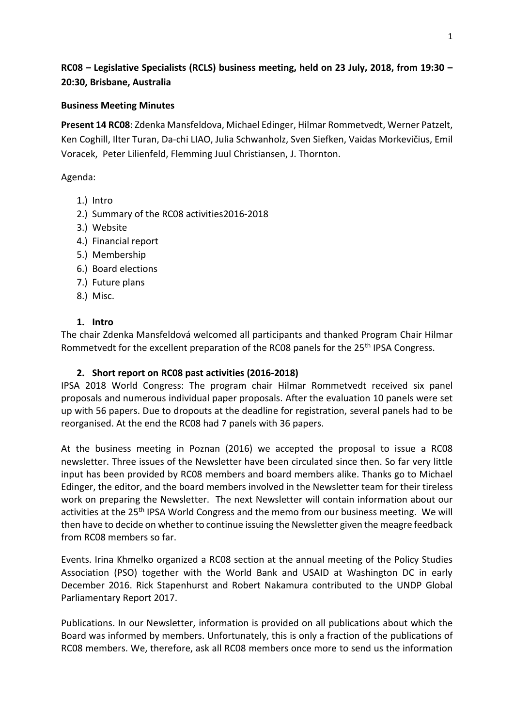## **RC08 – Legislative Specialists (RCLS) business meeting, held on 23 July, 2018, from 19:30 – 20:30, Brisbane, Australia**

## **Business Meeting Minutes**

**Present 14 RC08**: Zdenka Mansfeldova, Michael Edinger, Hilmar Rommetvedt, Werner Patzelt, Ken Coghill, Ilter Turan, Da-chi LIAO, Julia Schwanholz, Sven Siefken, Vaidas Morkevičius, Emil Voracek, Peter Lilienfeld, Flemming Juul Christiansen, J. Thornton.

## Agenda:

- 1.) Intro
- 2.) Summary of the RC08 activities2016-2018
- 3.) Website
- 4.) Financial report
- 5.) Membership
- 6.) Board elections
- 7.) Future plans
- 8.) Misc.

#### **1. Intro**

The chair Zdenka Mansfeldová welcomed all participants and thanked Program Chair Hilmar Rommetvedt for the excellent preparation of the RC08 panels for the 25<sup>th</sup> IPSA Congress.

## **2. Short report on RC08 past activities (2016-2018)**

IPSA 2018 World Congress: The program chair Hilmar Rommetvedt received six panel proposals and numerous individual paper proposals. After the evaluation 10 panels were set up with 56 papers. Due to dropouts at the deadline for registration, several panels had to be reorganised. At the end the RC08 had 7 panels with 36 papers.

At the business meeting in Poznan (2016) we accepted the proposal to issue a RC08 newsletter. Three issues of the Newsletter have been circulated since then. So far very little input has been provided by RC08 members and board members alike. Thanks go to Michael Edinger, the editor, and the board members involved in the Newsletter team for their tireless work on preparing the Newsletter. The next Newsletter will contain information about our activities at the 25th IPSA World Congress and the memo from our business meeting. We will then have to decide on whether to continue issuing the Newsletter given the meagre feedback from RC08 members so far.

Events. Irina Khmelko organized a RC08 section at the annual meeting of the Policy Studies Association (PSO) together with the World Bank and USAID at Washington DC in early December 2016. Rick Stapenhurst and Robert Nakamura contributed to the UNDP Global Parliamentary Report 2017.

Publications. In our Newsletter, information is provided on all publications about which the Board was informed by members. Unfortunately, this is only a fraction of the publications of RC08 members. We, therefore, ask all RC08 members once more to send us the information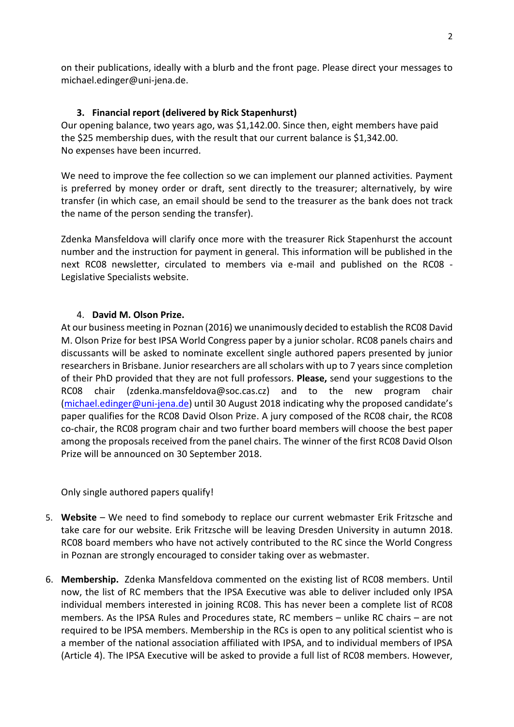on their publications, ideally with a blurb and the front page. Please direct your messages to michael.edinger@uni-jena.de.

## **3. Financial report (delivered by Rick Stapenhurst)**

Our opening balance, two years ago, was \$1,142.00. Since then, eight members have paid the \$25 membership dues, with the result that our current balance is \$1,342.00. No expenses have been incurred.

We need to improve the fee collection so we can implement our planned activities. Payment is preferred by money order or draft, sent directly to the treasurer; alternatively, by wire transfer (in which case, an email should be send to the treasurer as the bank does not track the name of the person sending the transfer).

Zdenka Mansfeldova will clarify once more with the treasurer Rick Stapenhurst the account number and the instruction for payment in general. This information will be published in the next RC08 newsletter, circulated to members via e-mail and published on the RC08 - Legislative Specialists website.

## 4. **David M. Olson Prize.**

At our business meeting in Poznan (2016) we unanimously decided to establish the RC08 David M. Olson Prize for best IPSA World Congress paper by a junior scholar. RC08 panels chairs and discussants will be asked to nominate excellent single authored papers presented by junior researchers in Brisbane. Junior researchers are all scholars with up to 7 years since completion of their PhD provided that they are not full professors. **Please,** send your suggestions to the RC08 chair (zdenka.mansfeldova@soc.cas.cz) and to the new program chair [\(michael.edinger@uni-jena.de\)](mailto:michael.edinger@uni-jena.de) until 30 August 2018 indicating why the proposed candidate's paper qualifies for the RC08 David Olson Prize. A jury composed of the RC08 chair, the RC08 co-chair, the RC08 program chair and two further board members will choose the best paper among the proposals received from the panel chairs. The winner of the first RC08 David Olson Prize will be announced on 30 September 2018.

Only single authored papers qualify!

- 5. **Website**  We need to find somebody to replace our current webmaster Erik Fritzsche and take care for our website. Erik Fritzsche will be leaving Dresden University in autumn 2018. RC08 board members who have not actively contributed to the RC since the World Congress in Poznan are strongly encouraged to consider taking over as webmaster.
- 6. **Membership.** Zdenka Mansfeldova commented on the existing list of RC08 members. Until now, the list of RC members that the IPSA Executive was able to deliver included only IPSA individual members interested in joining RC08. This has never been a complete list of RC08 members. As the IPSA Rules and Procedures state, RC members – unlike RC chairs – are not required to be IPSA members. Membership in the RCs is open to any political scientist who is a member of the national association affiliated with IPSA, and to individual members of IPSA (Article 4). The IPSA Executive will be asked to provide a full list of RC08 members. However,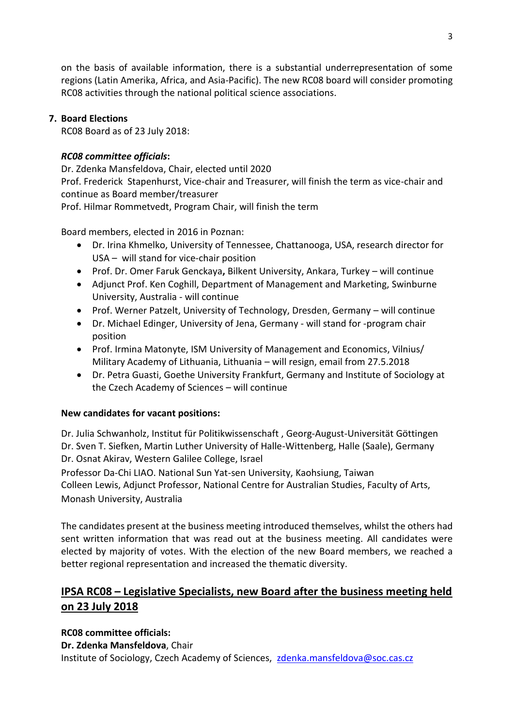on the basis of available information, there is a substantial underrepresentation of some regions (Latin Amerika, Africa, and Asia-Pacific). The new RC08 board will consider promoting RC08 activities through the national political science associations.

## **7. Board Elections**

RC08 Board as of 23 July 2018:

## *RC08 committee officials***:**

Dr. Zdenka Mansfeldova, Chair, elected until 2020 Prof. Frederick Stapenhurst, Vice-chair and Treasurer, will finish the term as vice-chair and continue as Board member/treasurer Prof. Hilmar Rommetvedt, Program Chair, will finish the term

Board members, elected in 2016 in Poznan:

- Dr. Irina Khmelko, University of Tennessee, Chattanooga, USA, research director for USA – will stand for vice-chair position
- Prof. Dr. Omer Faruk Genckaya**,** Bilkent University, Ankara, Turkey will continue
- Adjunct Prof. Ken Coghill, Department of Management and Marketing, Swinburne University, Australia - will continue
- Prof. Werner Patzelt, University of Technology, Dresden, Germany will continue
- Dr. Michael Edinger, University of Jena, Germany will stand for -program chair position
- Prof. Irmina Matonyte, I[SM University of Management and Economics,](https://www.researchgate.net/institution/ISM_University_of_Management_and_Economics) Vilnius/ Military Academy of Lithuania, Lithuania – will resign, email from 27.5.2018
- Dr. Petra Guasti, Goethe University Frankfurt, Germany and Institute of Sociology at the Czech Academy of Sciences – will continue

## **New candidates for vacant positions:**

Dr. Julia Schwanholz, Institut für Politikwissenschaft , Georg-August-Universität Göttingen Dr. Sven T. Siefken, Martin Luther University of Halle-Wittenberg, Halle (Saale), Germany Dr. Osnat Akirav, Western Galilee College, Israel

Professor Da-Chi LIAO. National Sun Yat-sen University, Kaohsiung, Taiwan Colleen Lewis, Adjunct Professor, National Centre for Australian Studies, Faculty of Arts, Monash University, Australia

The candidates present at the business meeting introduced themselves, whilst the others had sent written information that was read out at the business meeting. All candidates were elected by majority of votes. With the election of the new Board members, we reached a better regional representation and increased the thematic diversity.

# **IPSA RC08 – Legislative Specialists, new Board after the business meeting held on 23 July 2018**

## **RC08 committee officials:**

**Dr. Zdenka Mansfeldova**, Chair

Institute of Sociology, Czech Academy of Sciences, [zdenka.mansfeldova@soc.cas.cz](mailto:zdenka.mansfeldova@soc.cas.cz)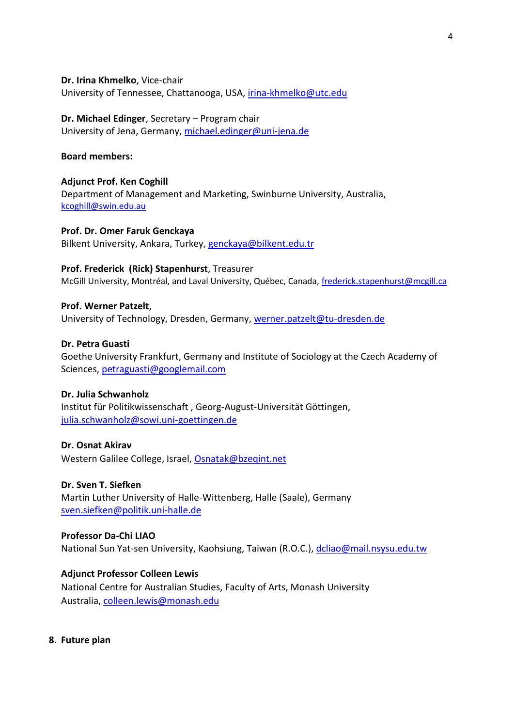**Dr. Irina Khmelko**, Vice-chair University of Tennessee, Chattanooga, USA, [irina-khmelko@utc.edu](mailto:irina-khmelko@utc.edu)

#### **Dr. Michael Edinger**, Secretary – Program chair University of Jena, Germany, [michael.edinger@uni-jena.de](mailto:michael.edinger@uni-jena.de)

#### **Board members:**

**Adjunct Prof. Ken Coghill** Department of Management and Marketing, Swinburne University, Australia, [kcoghill@swin.edu.au](mailto:kcoghill@swin.edu.au)

**Prof. Dr. Omer Faruk Genckaya** Bilkent University, Ankara, Turkey, [genckaya@bilkent.edu.tr](mailto:genckaya@bilkent.edu.tr)

#### **Prof. Frederick (Rick) Stapenhurst**, Treasurer

McGill University, Montréal, and Laval University, Québec, Canada, [frederick.stapenhurst@mcgill.ca](mailto:frederick.stapenhurst@mcgill.ca)

#### **Prof. Werner Patzelt**,

University of Technology, Dresden, Germany, [werner.patzelt@tu-dresden.de](mailto:werner.patzelt@tu-dresden.de)

#### **Dr. Petra Guasti**

Goethe University Frankfurt, Germany and Institute of Sociology at the Czech Academy of Sciences, [petraguasti@googlemail.com](mailto:petraguasti@googlemail.com)

## **Dr. Julia Schwanholz**

Institut für Politikwissenschaft , Georg-August-Universität Göttingen, [julia.schwanholz@sowi.uni-goettingen.de](mailto:julia.schwanholz@sowi.uni-goettingen.de)

#### **Dr. Osnat Akirav**

Western Galilee College, Israel, [Osnatak@bzeqint.net](mailto:Osnatak@bzeqint.net)

#### **Dr. Sven T. Siefken**

Martin Luther University of Halle-Wittenberg, Halle (Saale), Germany [sven.siefken@politik.uni-halle.de](mailto:sven.siefken@politik.uni-halle.de)

#### **Professor Da-Chi LIAO**

National Sun Yat-sen University, Kaohsiung, Taiwan (R.O.C.), [dcliao@mail.nsysu.edu.tw](mailto:dcliao@mail.nsysu.edu.tw)

## **Adjunct Professor Colleen Lewis**

National Centre for Australian Studies, Faculty of Arts, Monash University Australia[, colleen.lewis@monash.edu](mailto:colleen.lewis@monash.edu)

**8. Future plan**